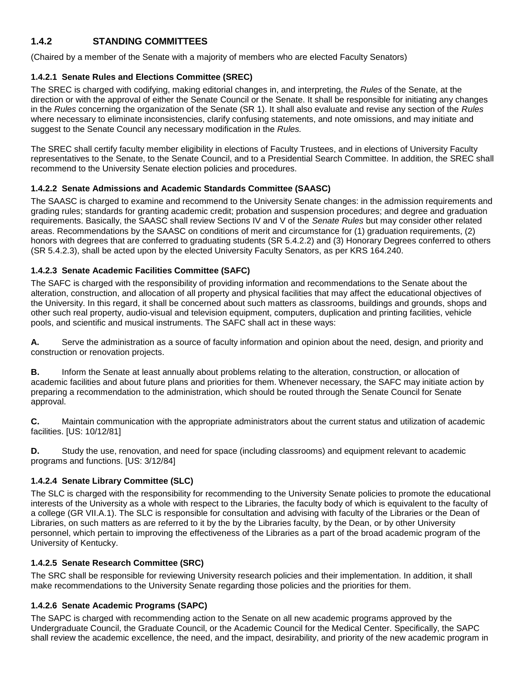# **1.4.2 STANDING COMMITTEES**

(Chaired by a member of the Senate with a majority of members who are elected Faculty Senators)

#### **1.4.2.1 Senate Rules and Elections Committee (SREC)**

The SREC is charged with codifying, making editorial changes in, and interpreting, the *Rules* of the Senate, at the direction or with the approval of either the Senate Council or the Senate. It shall be responsible for initiating any changes in the *Rules* concerning the organization of the Senate (SR 1). It shall also evaluate and revise any section of the *Rules*  where necessary to eliminate inconsistencies, clarify confusing statements, and note omissions, and may initiate and suggest to the Senate Council any necessary modification in the *Rules.*

The SREC shall certify faculty member eligibility in elections of Faculty Trustees, and in elections of University Faculty representatives to the Senate, to the Senate Council, and to a Presidential Search Committee. In addition, the SREC shall recommend to the University Senate election policies and procedures.

#### **1.4.2.2 Senate Admissions and Academic Standards Committee (SAASC)**

The SAASC is charged to examine and recommend to the University Senate changes: in the admission requirements and grading rules; standards for granting academic credit; probation and suspension procedures; and degree and graduation requirements. Basically, the SAASC shall review Sections IV and V of the *Senate Rules* but may consider other related areas. Recommendations by the SAASC on conditions of merit and circumstance for (1) graduation requirements, (2) honors with degrees that are conferred to graduating students (SR 5.4.2.2) and (3) Honorary Degrees conferred to others (SR 5.4.2.3), shall be acted upon by the elected University Faculty Senators, as per KRS 164.240.

#### **1.4.2.3 Senate Academic Facilities Committee (SAFC)**

The SAFC is charged with the responsibility of providing information and recommendations to the Senate about the alteration, construction, and allocation of all property and physical facilities that may affect the educational objectives of the University. In this regard, it shall be concerned about such matters as classrooms, buildings and grounds, shops and other such real property, audio-visual and television equipment, computers, duplication and printing facilities, vehicle pools, and scientific and musical instruments. The SAFC shall act in these ways:

**A.** Serve the administration as a source of faculty information and opinion about the need, design, and priority and construction or renovation projects.

**B.** Inform the Senate at least annually about problems relating to the alteration, construction, or allocation of academic facilities and about future plans and priorities for them. Whenever necessary, the SAFC may initiate action by preparing a recommendation to the administration, which should be routed through the Senate Council for Senate approval.

**C.** Maintain communication with the appropriate administrators about the current status and utilization of academic facilities. [US: 10/12/81]

**D.** Study the use, renovation, and need for space (including classrooms) and equipment relevant to academic programs and functions. [US: 3/12/84]

### **1.4.2.4 Senate Library Committee (SLC)**

The SLC is charged with the responsibility for recommending to the University Senate policies to promote the educational interests of the University as a whole with respect to the Libraries, the faculty body of which is equivalent to the faculty of a college (GR VII.A.1). The SLC is responsible for consultation and advising with faculty of the Libraries or the Dean of Libraries, on such matters as are referred to it by the by the Libraries faculty, by the Dean, or by other University personnel, which pertain to improving the effectiveness of the Libraries as a part of the broad academic program of the University of Kentucky.

#### **1.4.2.5 Senate Research Committee (SRC)**

The SRC shall be responsible for reviewing University research policies and their implementation. In addition, it shall make recommendations to the University Senate regarding those policies and the priorities for them.

#### **1.4.2.6 Senate Academic Programs (SAPC)**

The SAPC is charged with recommending action to the Senate on all new academic programs approved by the Undergraduate Council, the Graduate Council, or the Academic Council for the Medical Center. Specifically, the SAPC shall review the academic excellence, the need, and the impact, desirability, and priority of the new academic program in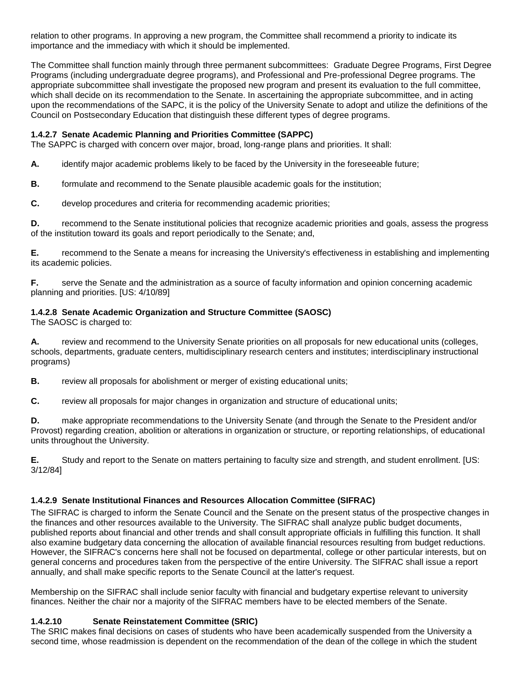relation to other programs. In approving a new program, the Committee shall recommend a priority to indicate its importance and the immediacy with which it should be implemented.

The Committee shall function mainly through three permanent subcommittees: Graduate Degree Programs, First Degree Programs (including undergraduate degree programs), and Professional and Pre-professional Degree programs. The appropriate subcommittee shall investigate the proposed new program and present its evaluation to the full committee, which shall decide on its recommendation to the Senate. In ascertaining the appropriate subcommittee, and in acting upon the recommendations of the SAPC, it is the policy of the University Senate to adopt and utilize the definitions of the Council on Postsecondary Education that distinguish these different types of degree programs.

#### **1.4.2.7 Senate Academic Planning and Priorities Committee (SAPPC)**

The SAPPC is charged with concern over major, broad, long-range plans and priorities. It shall:

**A.** identify major academic problems likely to be faced by the University in the foreseeable future;

- **B.** formulate and recommend to the Senate plausible academic goals for the institution;
- **C.** develop procedures and criteria for recommending academic priorities;

**D.** recommend to the Senate institutional policies that recognize academic priorities and goals, assess the progress of the institution toward its goals and report periodically to the Senate; and,

**E.** recommend to the Senate a means for increasing the University's effectiveness in establishing and implementing its academic policies.

**F.** serve the Senate and the administration as a source of faculty information and opinion concerning academic planning and priorities. [US: 4/10/89]

### **1.4.2.8 Senate Academic Organization and Structure Committee (SAOSC)**

The SAOSC is charged to:

**A.** review and recommend to the University Senate priorities on all proposals for new educational units (colleges, schools, departments, graduate centers, multidisciplinary research centers and institutes; interdisciplinary instructional programs)

**B.** review all proposals for abolishment or merger of existing educational units;

**C.** review all proposals for major changes in organization and structure of educational units;

**D.** make appropriate recommendations to the University Senate (and through the Senate to the President and/or Provost) regarding creation, abolition or alterations in organization or structure, or reporting relationships, of educational units throughout the University.

**E.** Study and report to the Senate on matters pertaining to faculty size and strength, and student enrollment. [US: 3/12/84]

### **1.4.2.9 Senate Institutional Finances and Resources Allocation Committee (SIFRAC)**

The SIFRAC is charged to inform the Senate Council and the Senate on the present status of the prospective changes in the finances and other resources available to the University. The SIFRAC shall analyze public budget documents, published reports about financial and other trends and shall consult appropriate officials in fulfilling this function. It shall also examine budgetary data concerning the allocation of available financial resources resulting from budget reductions. However, the SIFRAC's concerns here shall not be focused on departmental, college or other particular interests, but on general concerns and procedures taken from the perspective of the entire University. The SIFRAC shall issue a report annually, and shall make specific reports to the Senate Council at the latter's request.

Membership on the SIFRAC shall include senior faculty with financial and budgetary expertise relevant to university finances. Neither the chair nor a majority of the SIFRAC members have to be elected members of the Senate.

### **1.4.2.10 Senate Reinstatement Committee (SRIC)**

The SRIC makes final decisions on cases of students who have been academically suspended from the University a second time, whose readmission is dependent on the recommendation of the dean of the college in which the student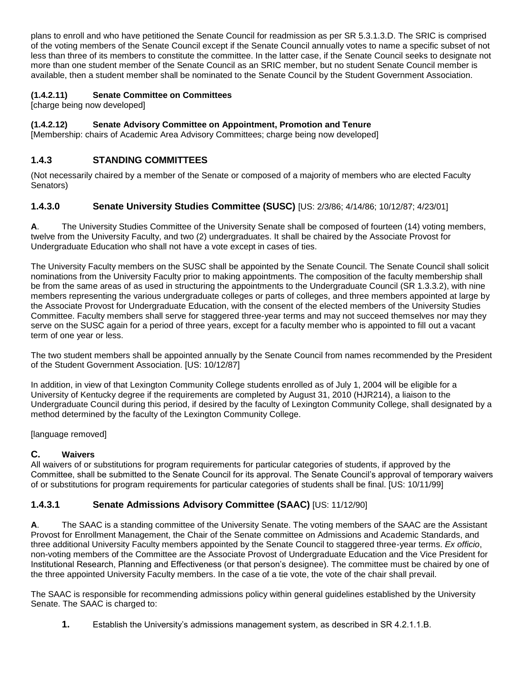plans to enroll and who have petitioned the Senate Council for readmission as per SR 5.3.1.3.D. The SRIC is comprised of the voting members of the Senate Council except if the Senate Council annually votes to name a specific subset of not less than three of its members to constitute the committee. In the latter case, if the Senate Council seeks to designate not more than one student member of the Senate Council as an SRIC member, but no student Senate Council member is available, then a student member shall be nominated to the Senate Council by the Student Government Association.

## **(1.4.2.11) Senate Committee on Committees**

[charge being now developed]

## **(1.4.2.12) Senate Advisory Committee on Appointment, Promotion and Tenure**

[Membership: chairs of Academic Area Advisory Committees; charge being now developed]

# **1.4.3 STANDING COMMITTEES**

(Not necessarily chaired by a member of the Senate or composed of a majority of members who are elected Faculty Senators)

### **1.4.3.0 Senate University Studies Committee (SUSC)** [US: 2/3/86; 4/14/86; 10/12/87; 4/23/01]

**A**. The University Studies Committee of the University Senate shall be composed of fourteen (14) voting members, twelve from the University Faculty, and two (2) undergraduates. It shall be chaired by the Associate Provost for Undergraduate Education who shall not have a vote except in cases of ties.

The University Faculty members on the SUSC shall be appointed by the Senate Council. The Senate Council shall solicit nominations from the University Faculty prior to making appointments. The composition of the faculty membership shall be from the same areas of as used in structuring the appointments to the Undergraduate Council (SR 1.3.3.2), with nine members representing the various undergraduate colleges or parts of colleges, and three members appointed at large by the Associate Provost for Undergraduate Education, with the consent of the elected members of the University Studies Committee. Faculty members shall serve for staggered three-year terms and may not succeed themselves nor may they serve on the SUSC again for a period of three years, except for a faculty member who is appointed to fill out a vacant term of one year or less.

The two student members shall be appointed annually by the Senate Council from names recommended by the President of the Student Government Association. [US: 10/12/87]

In addition, in view of that Lexington Community College students enrolled as of July 1, 2004 will be eligible for a University of Kentucky degree if the requirements are completed by August 31, 2010 (HJR214), a liaison to the Undergraduate Council during this period, if desired by the faculty of Lexington Community College, shall designated by a method determined by the faculty of the Lexington Community College.

[language removed]

### **C. Waivers**

All waivers of or substitutions for program requirements for particular categories of students, if approved by the Committee, shall be submitted to the Senate Council for its approval. The Senate Council's approval of temporary waivers of or substitutions for program requirements for particular categories of students shall be final. [US: 10/11/99]

# **1.4.3.1 Senate Admissions Advisory Committee (SAAC)** [US: 11/12/90]

**A**. The SAAC is a standing committee of the University Senate. The voting members of the SAAC are the Assistant Provost for Enrollment Management, the Chair of the Senate committee on Admissions and Academic Standards, and three additional University Faculty members appointed by the Senate Council to staggered three-year terms. *Ex officio*, non-voting members of the Committee are the Associate Provost of Undergraduate Education and the Vice President for Institutional Research, Planning and Effectiveness (or that person's designee). The committee must be chaired by one of the three appointed University Faculty members. In the case of a tie vote, the vote of the chair shall prevail.

The SAAC is responsible for recommending admissions policy within general guidelines established by the University Senate. The SAAC is charged to:

**1.** Establish the University's admissions management system, as described in SR 4.2.1.1.B.